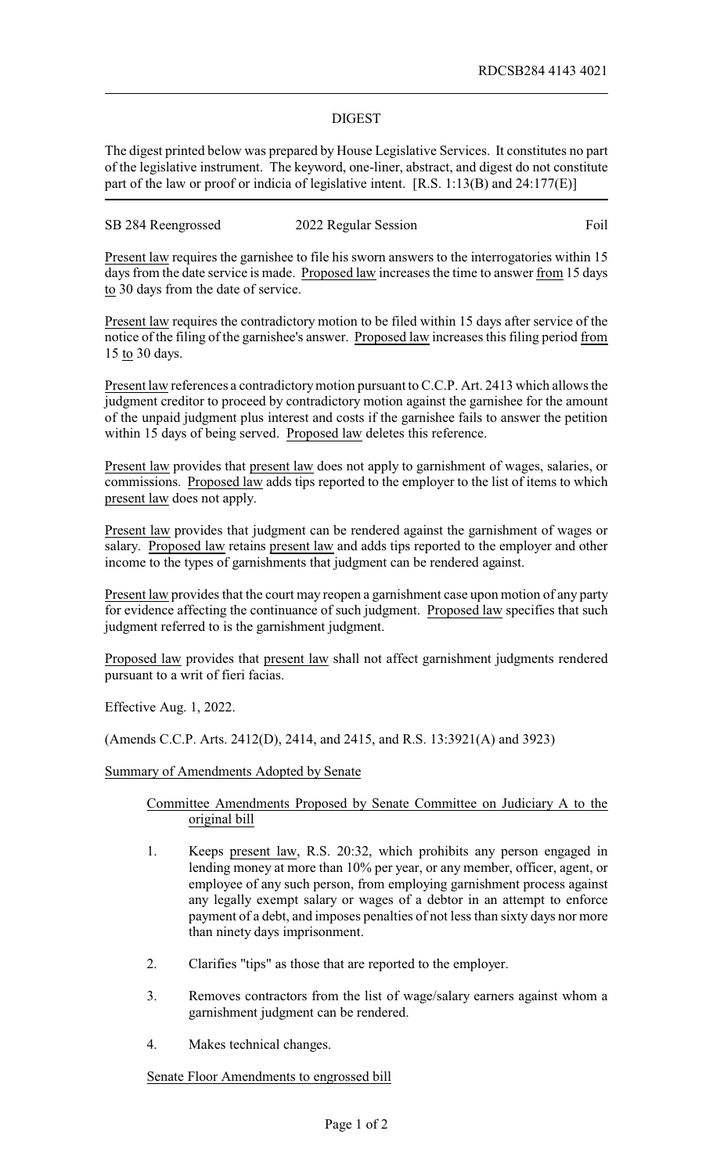## DIGEST

The digest printed below was prepared by House Legislative Services. It constitutes no part of the legislative instrument. The keyword, one-liner, abstract, and digest do not constitute part of the law or proof or indicia of legislative intent. [R.S. 1:13(B) and 24:177(E)]

SB 284 Reengrossed 2022 Regular Session Foil

Present law requires the garnishee to file his sworn answers to the interrogatories within 15 days from the date service is made. Proposed law increases the time to answer from 15 days to 30 days from the date of service.

Present law requires the contradictory motion to be filed within 15 days after service of the notice of the filing of the garnishee's answer. Proposed law increases this filing period from 15 to 30 days.

Present law references a contradictorymotion pursuant to C.C.P. Art. 2413 which allows the judgment creditor to proceed by contradictory motion against the garnishee for the amount of the unpaid judgment plus interest and costs if the garnishee fails to answer the petition within 15 days of being served. Proposed law deletes this reference.

Present law provides that present law does not apply to garnishment of wages, salaries, or commissions. Proposed law adds tips reported to the employer to the list of items to which present law does not apply.

Present law provides that judgment can be rendered against the garnishment of wages or salary. Proposed law retains present law and adds tips reported to the employer and other income to the types of garnishments that judgment can be rendered against.

Present law provides that the court may reopen a garnishment case upon motion of any party for evidence affecting the continuance of such judgment. Proposed law specifies that such judgment referred to is the garnishment judgment.

Proposed law provides that present law shall not affect garnishment judgments rendered pursuant to a writ of fieri facias.

Effective Aug. 1, 2022.

(Amends C.C.P. Arts. 2412(D), 2414, and 2415, and R.S. 13:3921(A) and 3923)

## Summary of Amendments Adopted by Senate

Committee Amendments Proposed by Senate Committee on Judiciary A to the original bill

- 1. Keeps present law, R.S. 20:32, which prohibits any person engaged in lending money at more than 10% per year, or any member, officer, agent, or employee of any such person, from employing garnishment process against any legally exempt salary or wages of a debtor in an attempt to enforce payment of a debt, and imposes penalties of not less than sixty days nor more than ninety days imprisonment.
- 2. Clarifies "tips" as those that are reported to the employer.
- 3. Removes contractors from the list of wage/salary earners against whom a garnishment judgment can be rendered.
- 4. Makes technical changes.

Senate Floor Amendments to engrossed bill